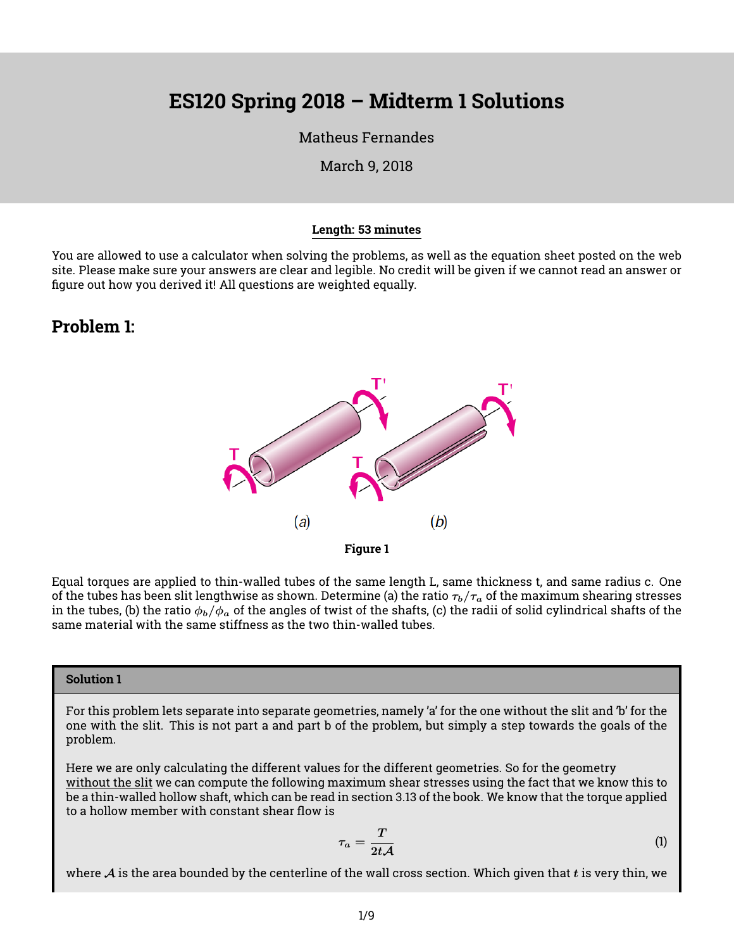# **ES120 Spring 2018 – Midterm 1 Solutions**

#### [Matheus Fernandes](http://fer.me)

March 9, 2018

#### **Length: 53 minutes**

You are allowed to use a calculator when solving the problems, as well as the equation sheet posted on the web site. Please make sure your answers are clear and legible. No credit will be given if we cannot read an answer or figure out how you derived it! All questions are weighted equally.

### **Problem 1:**



Equal torques are applied to thin-walled tubes of the same length L, same thickness t, and same radius c. One of the tubes has been slit lengthwise as shown. Determine (a) the ratio  $\tau_b/\tau_a$  of the maximum shearing stresses in the tubes, (b) the ratio  $\phi_b/\phi_a$  of the angles of twist of the shafts, (c) the radii of solid cylindrical shafts of the same material with the same stiffness as the two thin-walled tubes.

#### **Solution 1**

For this problem lets separate into separate geometries, namely 'a' for the one without the slit and 'b' for the one with the slit. This is not part a and part b of the problem, but simply a step towards the goals of the problem.

Here we are only calculating the different values for the different geometries. So for the geometry without the slit we can compute the following maximum shear stresses using the fact that we know this to be a thin-walled hollow shaft, which can be read in section 3.13 of the book. We know that the torque applied to a hollow member with constant shear flow is

$$
\tau_a = \frac{T}{2t\mathcal{A}}\tag{1}
$$

where  $\cal A$  is the area bounded by the centerline of the wall cross section. Which given that  $t$  is very thin, we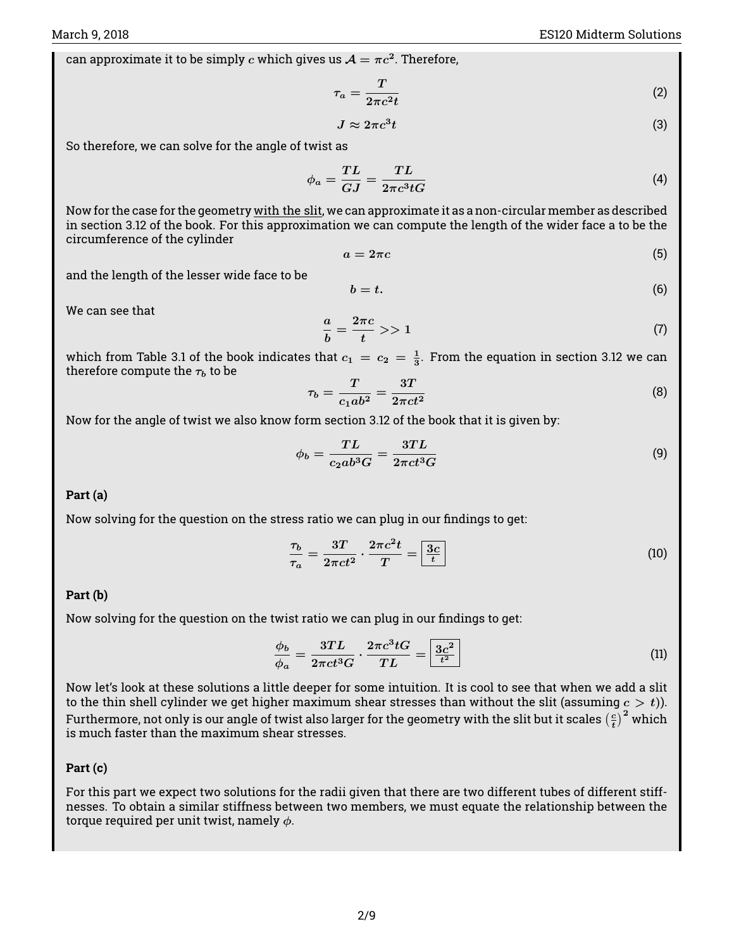can approximate it to be simply  $c$  which gives us  $\mathcal{A}=\pi c^2.$  Therefore,

$$
\tau_a = \frac{T}{2\pi c^2 t} \tag{2}
$$

$$
J \approx 2\pi c^3 t \tag{3}
$$

So therefore, we can solve for the angle of twist as

$$
\phi_a = \frac{TL}{GJ} = \frac{TL}{2\pi c^3 tG} \tag{4}
$$

Now for the case for the geometry with the slit, we can approximate it as a non-circular member as described in section 3.12 of the book. For this approximation we can compute the length of the wider face a to be the circumference of the cylinder

$$
a = 2\pi c \tag{5}
$$

and the length of the lesser wide face to be

$$
b = t. \tag{6}
$$

We can see that

$$
\frac{a}{b} = \frac{2\pi c}{t} > 1\tag{7}
$$

which from Table 3.1 of the book indicates that  $c_1 = c_2 = \frac{1}{3}$ . From the equation in section 3.12 we can therefore compute the  $\tau_b$  to be

$$
\tau_b = \frac{T}{c_1 a b^2} = \frac{3T}{2\pi c t^2} \tag{8}
$$

Now for the angle of twist we also know form section 3.12 of the book that it is given by:

$$
\phi_b = \frac{TL}{c_2 a b^3 G} = \frac{3TL}{2\pi c t^3 G} \tag{9}
$$

#### **Part (a)**

Now solving for the question on the stress ratio we can plug in our findings to get:

$$
\frac{\tau_b}{\tau_a} = \frac{3T}{2\pi ct^2} \cdot \frac{2\pi c^2 t}{T} = \boxed{\frac{3c}{t}}
$$
\n(10)

#### **Part (b)**

Now solving for the question on the twist ratio we can plug in our findings to get:

$$
\frac{\phi_b}{\phi_a} = \frac{3TL}{2\pi ct^3 G} \cdot \frac{2\pi c^3 t G}{TL} = \boxed{\frac{3c^2}{t^2}}
$$
\n(11)

Now let's look at these solutions a little deeper for some intuition. It is cool to see that when we add a slit to the thin shell cylinder we get higher maximum shear stresses than without the slit (assuming  $c > t$ )). Furthermore, not only is our angle of twist also larger for the geometry with the slit but it scales  $\left(\frac{c}{t}\right)^2$  which is much faster than the maximum shear stresses.

#### **Part (c)**

For this part we expect two solutions for the radii given that there are two different tubes of different stiffnesses. To obtain a similar stiffness between two members, we must equate the relationship between the torque required per unit twist, namely  $\phi$ .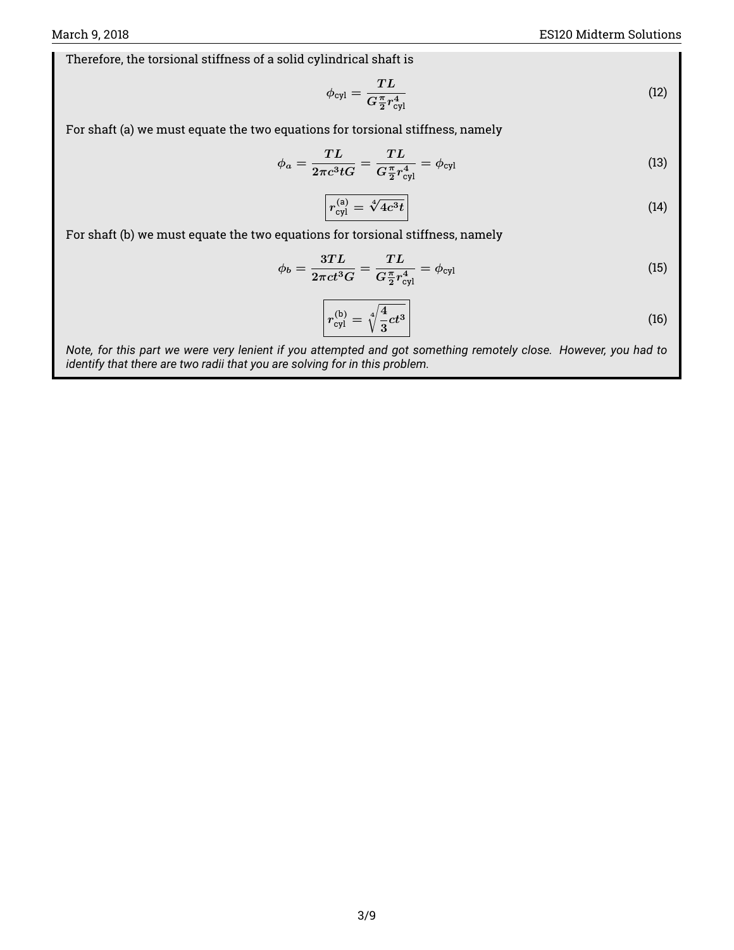Therefore, the torsional stiffness of a solid cylindrical shaft is

$$
\phi_{\rm cyl} = \frac{TL}{G_{2}^{\pi}r_{\rm cyl}^{4}}
$$
\n(12)

For shaft (a) we must equate the two equations for torsional stiffness, namely

$$
\phi_a = \frac{TL}{2\pi c^3 t G} = \frac{TL}{G\frac{\pi}{2}r_{\text{cyl}}^4} = \phi_{\text{cyl}}
$$
\n(13)

$$
r_{\rm cyl}^{\rm (a)} = \sqrt[4]{4c^3t} \tag{14}
$$

For shaft (b) we must equate the two equations for torsional stiffness, namely

$$
\phi_b = \frac{3TL}{2\pi ct^3 G} = \frac{TL}{G\frac{\pi}{2}r_{\text{cyl}}^4} = \phi_{\text{cyl}} \tag{15}
$$

$$
r_{\rm cyl}^{\rm (b)} = \sqrt[4]{\frac{4}{3}ct^3} \tag{16}
$$

*Note, for this part we were very lenient if you attempted and got something remotely close. However, you had to identify that there are two radii that you are solving for in this problem.*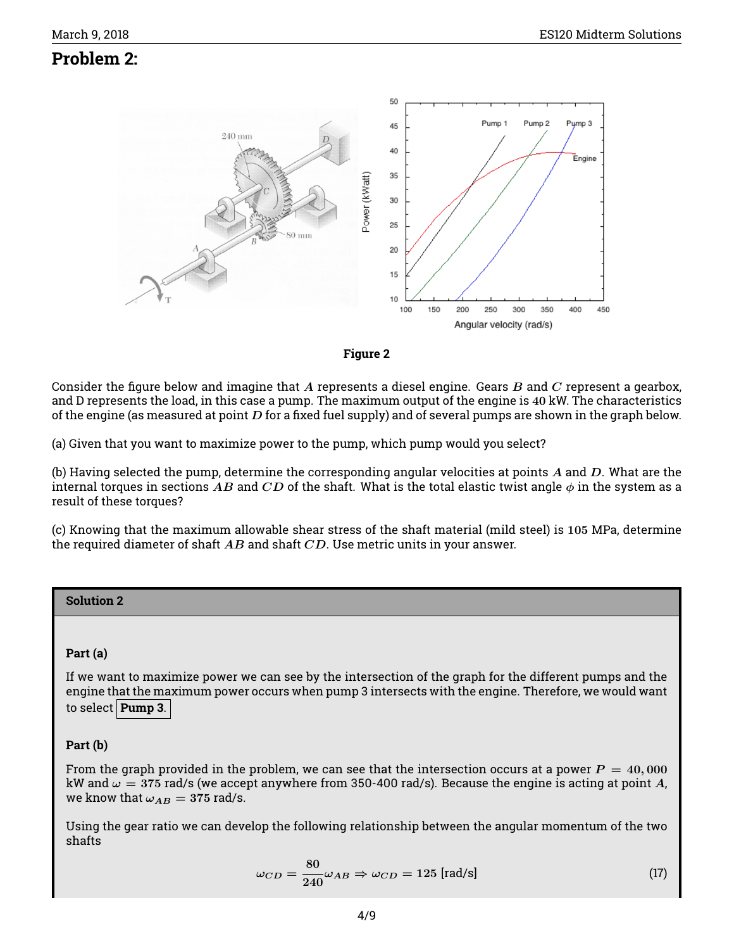# **Problem 2:**





Consider the figure below and imagine that A represents a diesel engine. Gears B and C represent a gearbox, and D represents the load, in this case a pump. The maximum output of the engine is 40 kW. The characteristics of the engine (as measured at point  $D$  for a fixed fuel supply) and of several pumps are shown in the graph below.

(a) Given that you want to maximize power to the pump, which pump would you select?

(b) Having selected the pump, determine the corresponding angular velocities at points  $A$  and  $D$ . What are the internal torques in sections AB and CD of the shaft. What is the total elastic twist angle  $\phi$  in the system as a result of these torques?

(c) Knowing that the maximum allowable shear stress of the shaft material (mild steel) is 105 MPa, determine the required diameter of shaft  $AB$  and shaft  $CD$ . Use metric units in your answer.

#### **Solution 2**

#### **Part (a)**

If we want to maximize power we can see by the intersection of the graph for the different pumps and the engine that the maximum power occurs when pump 3 intersects with the engine. Therefore, we would want to select **Pump 3**.

#### **Part (b)**

From the graph provided in the problem, we can see that the intersection occurs at a power  $P = 40,000$ kW and  $\omega = 375$  rad/s (we accept anywhere from 350-400 rad/s). Because the engine is acting at point A, we know that  $\omega_{AB} = 375$  rad/s.

Using the gear ratio we can develop the following relationship between the angular momentum of the two shafts

$$
\omega_{CD} = \frac{80}{240} \omega_{AB} \Rightarrow \omega_{CD} = 125 \text{ [rad/s]}
$$
 (17)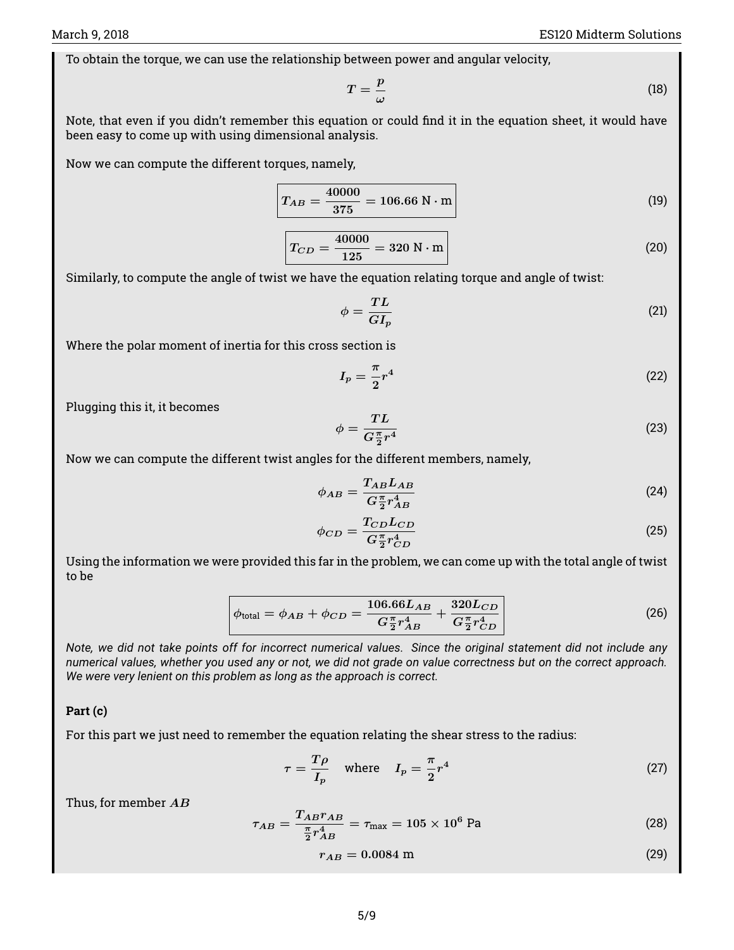To obtain the torque, we can use the relationship between power and angular velocity,

$$
T = \frac{p}{\omega} \tag{18}
$$

Note, that even if you didn't remember this equation or could find it in the equation sheet, it would have been easy to come up with using dimensional analysis.

Now we can compute the different torques, namely,

$$
T_{AB} = \frac{40000}{375} = 106.66 \text{ N} \cdot \text{m}
$$
 (19)

$$
T_{CD} = \frac{40000}{125} = 320 \text{ N} \cdot \text{m} \tag{20}
$$

Similarly, to compute the angle of twist we have the equation relating torque and angle of twist:

$$
\phi = \frac{TL}{GI_p} \tag{21}
$$

Where the polar moment of inertia for this cross section is

$$
I_p = \frac{\pi}{2}r^4\tag{22}
$$

Plugging this it, it becomes

$$
\phi = \frac{TL}{G\frac{\pi}{2}r^4} \tag{23}
$$

Now we can compute the different twist angles for the different members, namely,

$$
\phi_{AB} = \frac{T_{AB} L_{AB}}{G_{2}^{\pi} r_{AB}^{4}}
$$
\n(24)

$$
\phi_{CD} = \frac{T_{CD}L_{CD}}{G\frac{\pi}{2}r_{CD}^4} \tag{25}
$$

Using the information we were provided this far in the problem, we can come up with the total angle of twist to be

$$
\phi_{\text{total}} = \phi_{AB} + \phi_{CD} = \frac{106.66L_{AB}}{G_{2}^{\pi}r_{AB}^{4}} + \frac{320L_{CD}}{G_{2}^{\pi}r_{CD}^{4}}
$$
(26)

*Note, we did not take points off for incorrect numerical values. Since the original statement did not include any numerical values, whether you used any or not, we did not grade on value correctness but on the correct approach. We were very lenient on this problem as long as the approach is correct.*

#### **Part (c)**

For this part we just need to remember the equation relating the shear stress to the radius:

$$
\tau = \frac{T\rho}{I_p} \quad \text{where} \quad I_p = \frac{\pi}{2}r^4 \tag{27}
$$

Thus, for member  $AB$ 

$$
\tau_{AB} = \frac{T_{AB} r_{AB}}{\frac{\pi}{2} r_{AB}^4} = \tau_{\text{max}} = 105 \times 10^6 \text{ Pa}
$$
 (28)

$$
r_{AB} = 0.0084 \text{ m} \tag{29}
$$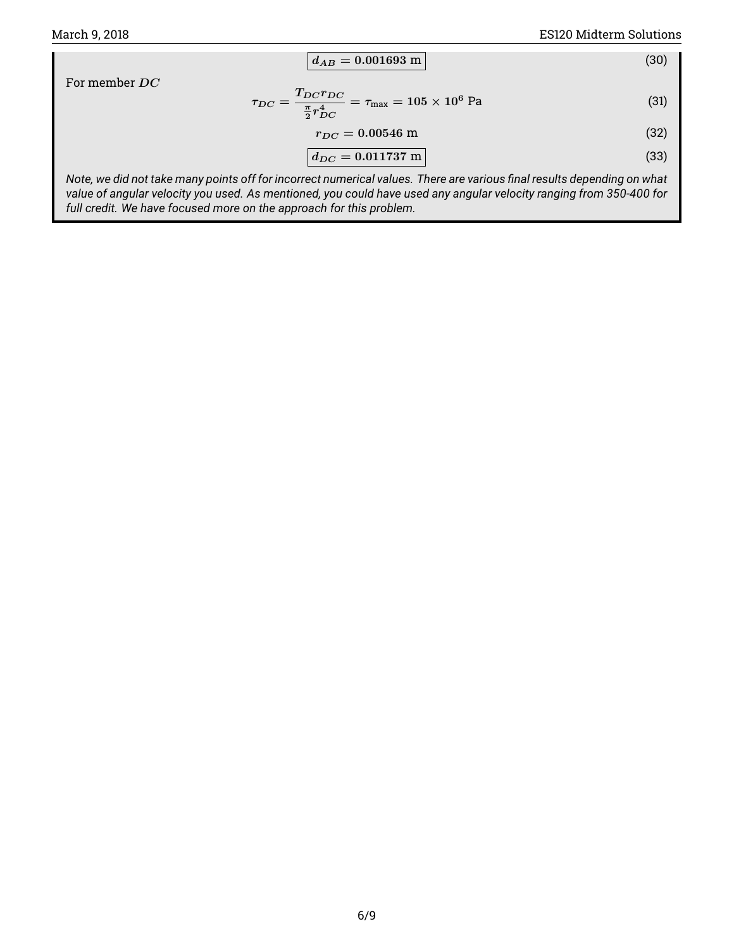$$
d_{AB} = 0.001693 \text{ m} \tag{30}
$$

For member DC

$$
\tau_{DC} = \frac{T_{DC} r_{DC}}{\frac{\pi}{2} r_{DC}^4} = \tau_{\text{max}} = 105 \times 10^6 \text{ Pa}
$$
\n(31)

$$
r_{DC} = 0.00546 \text{ m} \tag{32}
$$

$$
d_{DC} = 0.011737 \text{ m} \tag{33}
$$

*Note, we did not take many points off for incorrect numerical values. There are various final results depending on what value of angular velocity you used. As mentioned, you could have used any angular velocity ranging from 350-400 for full credit. We have focused more on the approach for this problem.*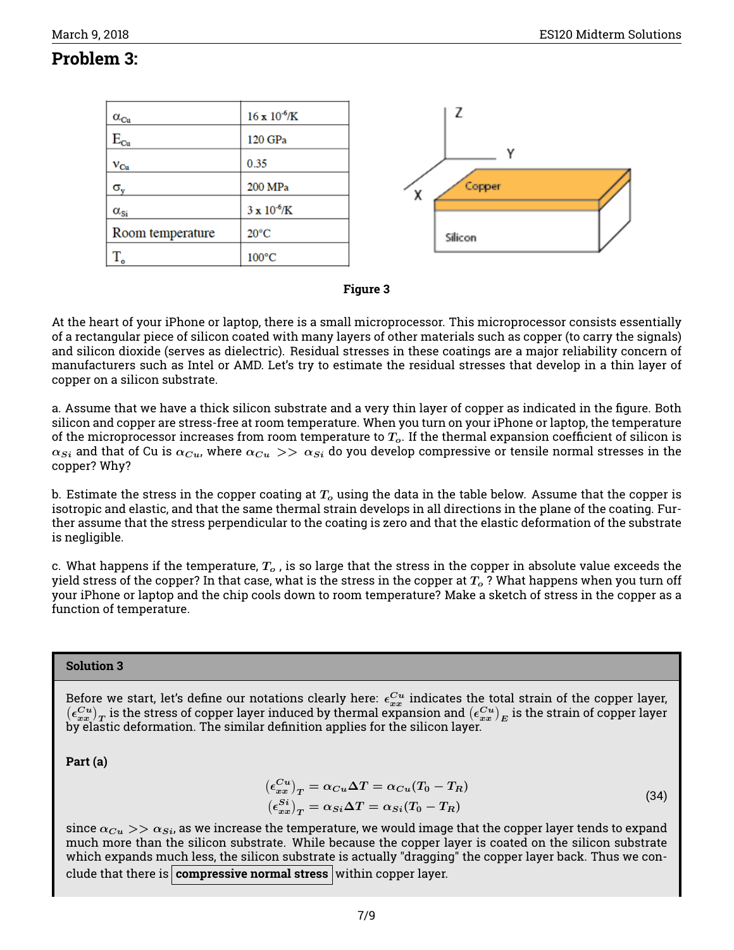## **Problem 3:**

| $\alpha_{\rm Cu}$    | $16 \times 10^{-6}$ /K | Z           |
|----------------------|------------------------|-------------|
| $\rm E_{\rm Cu}$     | 120 GPa                |             |
| $v_{Cu}$             | 0.35                   | v           |
| $\sigma_{\rm v}$     | 200 MPa                | Copper<br>χ |
| $\alpha_{\text{Si}}$ | $3 \times 10^{-6}$ /K  |             |
| Room temperature     | $20^{\circ}$ C         | Silicon     |
| $T_{\rm o}$          | $100^{\circ}$ C        |             |



At the heart of your iPhone or laptop, there is a small microprocessor. This microprocessor consists essentially of a rectangular piece of silicon coated with many layers of other materials such as copper (to carry the signals) and silicon dioxide (serves as dielectric). Residual stresses in these coatings are a major reliability concern of manufacturers such as Intel or AMD. Let's try to estimate the residual stresses that develop in a thin layer of copper on a silicon substrate.

a. Assume that we have a thick silicon substrate and a very thin layer of copper as indicated in the figure. Both silicon and copper are stress-free at room temperature. When you turn on your iPhone or laptop, the temperature of the microprocessor increases from room temperature to  $T<sub>o</sub>$ . If the thermal expansion coefficient of silicon is  $\alpha_{Si}$  and that of Cu is  $\alpha_{Cu}$ , where  $\alpha_{Cu} >> \alpha_{Si}$  do you develop compressive or tensile normal stresses in the copper? Why?

b. Estimate the stress in the copper coating at  $T<sub>o</sub>$  using the data in the table below. Assume that the copper is isotropic and elastic, and that the same thermal strain develops in all directions in the plane of the coating. Further assume that the stress perpendicular to the coating is zero and that the elastic deformation of the substrate is negligible.

c. What happens if the temperature,  $T_o$ , is so large that the stress in the copper in absolute value exceeds the yield stress of the copper? In that case, what is the stress in the copper at  $T<sub>o</sub>$ ? What happens when you turn off your iPhone or laptop and the chip cools down to room temperature? Make a sketch of stress in the copper as a function of temperature.

#### **Solution 3**

Before we start, let's define our notations clearly here:  $\epsilon_{xx}^{Cu}$  indicates the total strain of the copper layer,  $(\epsilon_{xx}^{Cu})_T$  is the stress of copper layer induced by thermal expansion and  $(\epsilon_{xx}^{Cu})_E$  is the strain of copper layer by elastic deformation. The similar definition applies for the silicon layer.

<span id="page-6-0"></span>**Part (a)**

$$
\left(\epsilon_{xx}^{Cu}\right)_T = \alpha_{Cu}\Delta T = \alpha_{Cu}(T_0 - T_R)
$$
\n
$$
\left(\epsilon_{xx}^{Si}\right)_T = \alpha_{Si}\Delta T = \alpha_{Si}(T_0 - T_R)
$$
\n(34)

since  $\alpha_{Cu} >> \alpha_{Si}$ , as we increase the temperature, we would image that the copper layer tends to expand much more than the silicon substrate. While because the copper layer is coated on the silicon substrate which expands much less, the silicon substrate is actually "dragging" the copper layer back. Thus we conclude that there is **compressive normal stress** within copper layer.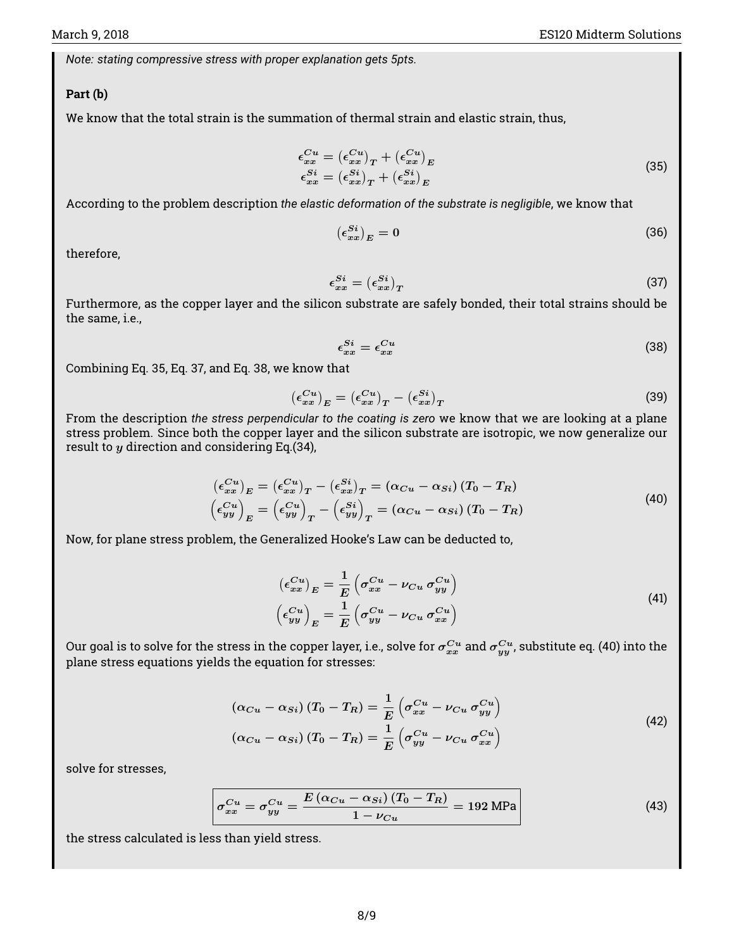*Note: stating compressive stress with proper explanation gets 5pts.*

#### **Part (b)**

We know that the total strain is the summation of thermal strain and elastic strain, thus,

$$
\epsilon_{xx}^{Cu} = (\epsilon_{xx}^{Cu})_T + (\epsilon_{xx}^{Cu})_E
$$
  
\n
$$
\epsilon_{xx}^{Si} = (\epsilon_{xx}^{Si})_T + (\epsilon_{xx}^{Si})_E
$$
\n(35)

<span id="page-7-0"></span>According to the problem description *the elastic deformation of the substrate is negligible*, we know that

$$
\left(\epsilon_{xx}^{Si}\right)_E = 0\tag{36}
$$

therefore,

<span id="page-7-1"></span>
$$
\epsilon_{xx}^{Si} = \left(\epsilon_{xx}^{Si}\right)_T \tag{37}
$$

Furthermore, as the copper layer and the silicon substrate are safely bonded, their total strains should be the same, i.e.,

<span id="page-7-2"></span>
$$
\epsilon_{xx}^{Si} = \epsilon_{xx}^{Cu} \tag{38}
$$

Combining Eq. [35,](#page-7-0) Eq. [37,](#page-7-1) and Eq. [38,](#page-7-2) we know that

$$
\left(\epsilon_{xx}^{Cu}\right)_E = \left(\epsilon_{xx}^{Cu}\right)_T - \left(\epsilon_{xx}^{Si}\right)_T\tag{39}
$$

From the description *the stress perpendicular to the coating is zero* we know that we are looking at a plane stress problem. Since both the copper layer and the silicon substrate are isotropic, we now generalize our result to  $y$  direction and considering Eq.[\(34\)](#page-6-0),

$$
\begin{aligned}\n(\epsilon_{xx}^{Cu})_E &= (\epsilon_{xx}^{Cu})_T - (\epsilon_{xx}^{Si})_T = (\alpha_{Cu} - \alpha_{Si}) (T_0 - T_R) \\
(\epsilon_{yy}^{Cu})_E &= (\epsilon_{yy}^{Cu})_T - (\epsilon_{yy}^{Si})_T = (\alpha_{Cu} - \alpha_{Si}) (T_0 - T_R)\n\end{aligned}
$$
\n(40)

<span id="page-7-3"></span>Now, for plane stress problem, the Generalized Hooke's Law can be deducted to,

$$
\left(\epsilon_{xx}^{Cu}\right)_E = \frac{1}{E} \left(\sigma_{xx}^{Cu} - \nu_{Cu} \sigma_{yy}^{Cu}\right)
$$
\n
$$
\left(\epsilon_{yy}^{Cu}\right)_E = \frac{1}{E} \left(\sigma_{yy}^{Cu} - \nu_{Cu} \sigma_{xx}^{Cu}\right)
$$
\n(41)

Our goal is to solve for the stress in the copper layer, i.e., solve for  $\sigma^{Cu}_{xx}$  and  $\sigma^{Cu}_{yy}$ , substitute [eq. \(40\)](#page-7-3) into the plane stress equations yields the equation for stresses:

$$
\left(\alpha_{Cu} - \alpha_{Si}\right)\left(T_0 - T_R\right) = \frac{1}{E} \left(\sigma_{xx}^{Cu} - \nu_{Cu} \sigma_{yy}^{Cu}\right)
$$
\n
$$
\left(\alpha_{Cu} - \alpha_{Si}\right)\left(T_0 - T_R\right) = \frac{1}{E} \left(\sigma_{yy}^{Cu} - \nu_{Cu} \sigma_{xx}^{Cu}\right)
$$
\n
$$
\tag{42}
$$

solve for stresses,

$$
\sigma_{xx}^{Cu} = \sigma_{yy}^{Cu} = \frac{E\left(\alpha_{Cu} - \alpha_{Si}\right)\left(T_0 - T_R\right)}{1 - \nu_{Cu}} = 192 \text{ MPa}
$$
\n(43)

the stress calculated is less than yield stress.